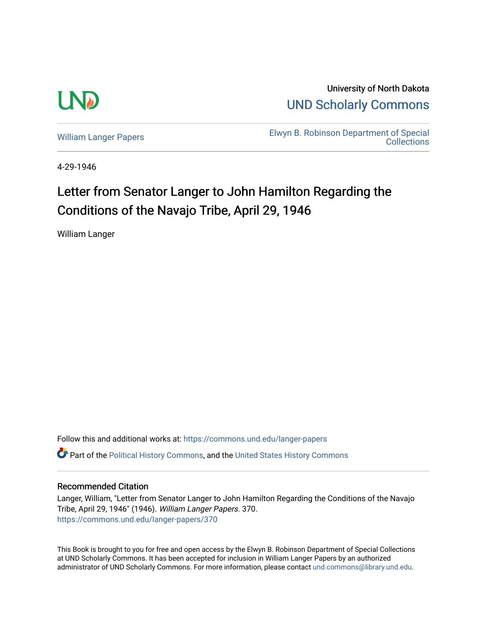

University of North Dakota [UND Scholarly Commons](https://commons.und.edu/) 

[William Langer Papers](https://commons.und.edu/langer-papers) **Elwyn B. Robinson Department of Special** [Collections](https://commons.und.edu/archives) 

4-29-1946

## Letter from Senator Langer to John Hamilton Regarding the Conditions of the Navajo Tribe, April 29, 1946

William Langer

Follow this and additional works at: [https://commons.und.edu/langer-papers](https://commons.und.edu/langer-papers?utm_source=commons.und.edu%2Flanger-papers%2F370&utm_medium=PDF&utm_campaign=PDFCoverPages)  **C** Part of the [Political History Commons,](https://network.bepress.com/hgg/discipline/505?utm_source=commons.und.edu%2Flanger-papers%2F370&utm_medium=PDF&utm_campaign=PDFCoverPages) and the [United States History Commons](https://network.bepress.com/hgg/discipline/495?utm_source=commons.und.edu%2Flanger-papers%2F370&utm_medium=PDF&utm_campaign=PDFCoverPages)

## Recommended Citation

Langer, William, "Letter from Senator Langer to John Hamilton Regarding the Conditions of the Navajo Tribe, April 29, 1946" (1946). William Langer Papers. 370. [https://commons.und.edu/langer-papers/370](https://commons.und.edu/langer-papers/370?utm_source=commons.und.edu%2Flanger-papers%2F370&utm_medium=PDF&utm_campaign=PDFCoverPages) 

This Book is brought to you for free and open access by the Elwyn B. Robinson Department of Special Collections at UND Scholarly Commons. It has been accepted for inclusion in William Langer Papers by an authorized administrator of UND Scholarly Commons. For more information, please contact [und.commons@library.und.edu.](mailto:und.commons@library.und.edu)